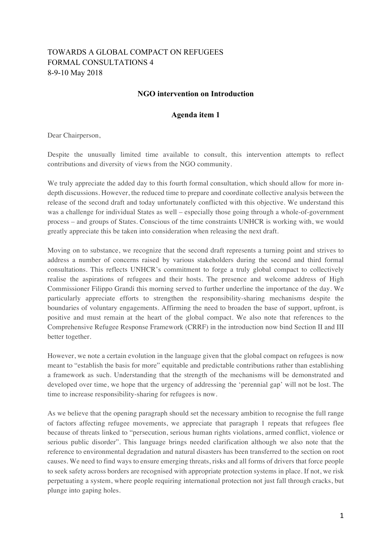## TOWARDS A GLOBAL COMPACT ON REFUGEES FORMAL CONSULTATIONS 4 8-9-10 May 2018

## **NGO intervention on Introduction**

## **Agenda item 1**

Dear Chairperson,

Despite the unusually limited time available to consult, this intervention attempts to reflect contributions and diversity of views from the NGO community.

We truly appreciate the added day to this fourth formal consultation, which should allow for more indepth discussions. However, the reduced time to prepare and coordinate collective analysis between the release of the second draft and today unfortunately conflicted with this objective. We understand this was a challenge for individual States as well – especially those going through a whole-of-government process – and groups of States. Conscious of the time constraints UNHCR is working with, we would greatly appreciate this be taken into consideration when releasing the next draft.

Moving on to substance, we recognize that the second draft represents a turning point and strives to address a number of concerns raised by various stakeholders during the second and third formal consultations. This reflects UNHCR's commitment to forge a truly global compact to collectively realise the aspirations of refugees and their hosts. The presence and welcome address of High Commissioner Filippo Grandi this morning served to further underline the importance of the day. We particularly appreciate efforts to strengthen the responsibility-sharing mechanisms despite the boundaries of voluntary engagements. Affirming the need to broaden the base of support, upfront, is positive and must remain at the heart of the global compact. We also note that references to the Comprehensive Refugee Response Framework (CRRF) in the introduction now bind Section II and III better together.

However, we note a certain evolution in the language given that the global compact on refugees is now meant to "establish the basis for more" equitable and predictable contributions rather than establishing a framework as such. Understanding that the strength of the mechanisms will be demonstrated and developed over time, we hope that the urgency of addressing the 'perennial gap' will not be lost. The time to increase responsibility-sharing for refugees is now.

As we believe that the opening paragraph should set the necessary ambition to recognise the full range of factors affecting refugee movements, we appreciate that paragraph 1 repeats that refugees flee because of threats linked to "persecution, serious human rights violations, armed conflict, violence or serious public disorder". This language brings needed clarification although we also note that the reference to environmental degradation and natural disasters has been transferred to the section on root causes. We need to find ways to ensure emerging threats, risks and all forms of drivers that force people to seek safety across borders are recognised with appropriate protection systems in place. If not, we risk perpetuating a system, where people requiring international protection not just fall through cracks, but plunge into gaping holes.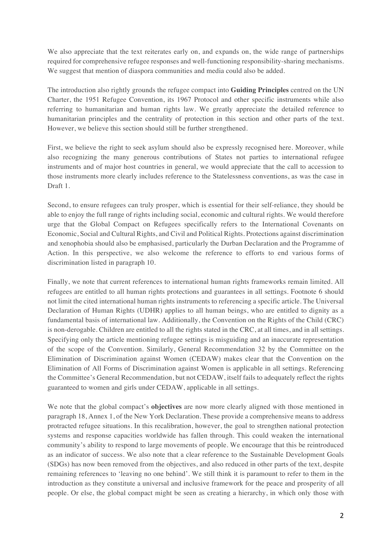We also appreciate that the text reiterates early on, and expands on, the wide range of partnerships required for comprehensive refugee responses and well-functioning responsibility-sharing mechanisms. We suggest that mention of diaspora communities and media could also be added.

The introduction also rightly grounds the refugee compact into **Guiding Principles** centred on the UN Charter, the 1951 Refugee Convention, its 1967 Protocol and other specific instruments while also referring to humanitarian and human rights law. We greatly appreciate the detailed reference to humanitarian principles and the centrality of protection in this section and other parts of the text. However, we believe this section should still be further strengthened.

First, we believe the right to seek asylum should also be expressly recognised here. Moreover, while also recognizing the many generous contributions of States not parties to international refugee instruments and of major host countries in general, we would appreciate that the call to accession to those instruments more clearly includes reference to the Statelessness conventions, as was the case in Draft 1.

Second, to ensure refugees can truly prosper, which is essential for their self-reliance, they should be able to enjoy the full range of rights including social, economic and cultural rights. We would therefore urge that the Global Compact on Refugees specifically refers to the International Covenants on Economic, Social and Cultural Rights, and Civil and Political Rights. Protections against discrimination and xenophobia should also be emphasised, particularly the Durban Declaration and the Programme of Action. In this perspective, we also welcome the reference to efforts to end various forms of discrimination listed in paragraph 10.

Finally, we note that current references to international human rights frameworks remain limited. All refugees are entitled to all human rights protections and guarantees in all settings. Footnote 6 should not limit the cited international human rights instruments to referencing a specific article. The Universal Declaration of Human Rights (UDHR) applies to all human beings, who are entitled to dignity as a fundamental basis of international law. Additionally, the Convention on the Rights of the Child (CRC) is non-derogable. Children are entitled to all the rights stated in the CRC, at all times, and in all settings. Specifying only the article mentioning refugee settings is misguiding and an inaccurate representation of the scope of the Convention. Similarly, General Recommendation 32 by the Committee on the Elimination of Discrimination against Women (CEDAW) makes clear that the Convention on the Elimination of All Forms of Discrimination against Women is applicable in all settings. Referencing the Committee's General Recommendation, but not CEDAW, itself fails to adequately reflect the rights guaranteed to women and girls under CEDAW, applicable in all settings.

We note that the global compact's **objectives** are now more clearly aligned with those mentioned in paragraph 18, Annex 1, of the New York Declaration. These provide a comprehensive means to address protracted refugee situations. In this recalibration, however, the goal to strengthen national protection systems and response capacities worldwide has fallen through. This could weaken the international community's ability to respond to large movements of people. We encourage that this be reintroduced as an indicator of success. We also note that a clear reference to the Sustainable Development Goals (SDGs) has now been removed from the objectives, and also reduced in other parts of the text, despite remaining references to 'leaving no one behind'. We still think it is paramount to refer to them in the introduction as they constitute a universal and inclusive framework for the peace and prosperity of all people. Or else, the global compact might be seen as creating a hierarchy, in which only those with